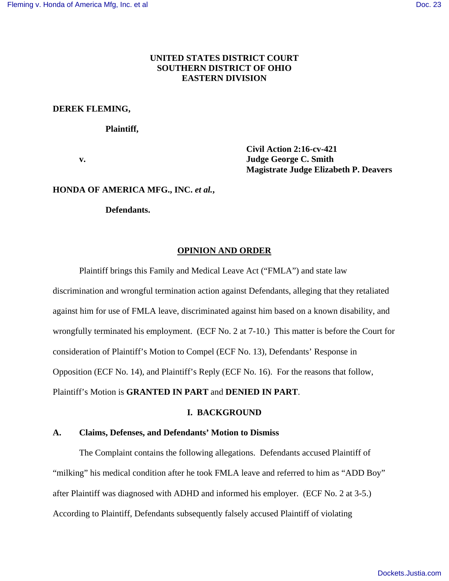# **UNITED STATES DISTRICT COURT SOUTHERN DISTRICT OF OHIO EASTERN DIVISION**

## **DEREK FLEMING,**

#### **Plaintiff,**

 **Civil Action 2:16-cv-421 v. Judge George C. Smith Magistrate Judge Elizabeth P. Deavers** 

## **HONDA OF AMERICA MFG., INC.** *et al.***,**

 **Defendants.** 

## **OPINION AND ORDER**

Plaintiff brings this Family and Medical Leave Act ("FMLA") and state law

discrimination and wrongful termination action against Defendants, alleging that they retaliated against him for use of FMLA leave, discriminated against him based on a known disability, and wrongfully terminated his employment. (ECF No. 2 at 7-10.) This matter is before the Court for consideration of Plaintiff's Motion to Compel (ECF No. 13), Defendants' Response in Opposition (ECF No. 14), and Plaintiff's Reply (ECF No. 16). For the reasons that follow, Plaintiff's Motion is **GRANTED IN PART** and **DENIED IN PART**.

#### **I. BACKGROUND**

## **A. Claims, Defenses, and Defendants' Motion to Dismiss**

 The Complaint contains the following allegations. Defendants accused Plaintiff of "milking" his medical condition after he took FMLA leave and referred to him as "ADD Boy" after Plaintiff was diagnosed with ADHD and informed his employer. (ECF No. 2 at 3-5.) According to Plaintiff, Defendants subsequently falsely accused Plaintiff of violating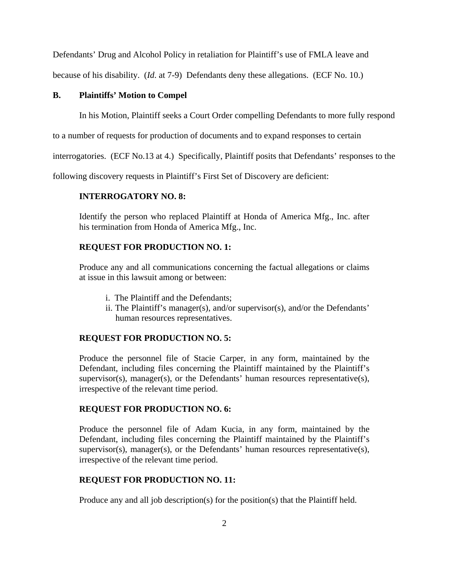Defendants' Drug and Alcohol Policy in retaliation for Plaintiff's use of FMLA leave and

because of his disability. (*Id*. at 7-9) Defendants deny these allegations. (ECF No. 10.)

## **B. Plaintiffs' Motion to Compel**

In his Motion, Plaintiff seeks a Court Order compelling Defendants to more fully respond

to a number of requests for production of documents and to expand responses to certain

interrogatories. (ECF No.13 at 4.) Specifically, Plaintiff posits that Defendants' responses to the

following discovery requests in Plaintiff's First Set of Discovery are deficient:

# **INTERROGATORY NO. 8:**

Identify the person who replaced Plaintiff at Honda of America Mfg., Inc. after his termination from Honda of America Mfg., Inc.

# **REQUEST FOR PRODUCTION NO. 1:**

Produce any and all communications concerning the factual allegations or claims at issue in this lawsuit among or between:

- i. The Plaintiff and the Defendants;
- ii. The Plaintiff's manager(s), and/or supervisor(s), and/or the Defendants' human resources representatives.

# **REQUEST FOR PRODUCTION NO. 5:**

Produce the personnel file of Stacie Carper, in any form, maintained by the Defendant, including files concerning the Plaintiff maintained by the Plaintiff's supervisor(s), manager(s), or the Defendants' human resources representative(s), irrespective of the relevant time period.

# **REQUEST FOR PRODUCTION NO. 6:**

Produce the personnel file of Adam Kucia, in any form, maintained by the Defendant, including files concerning the Plaintiff maintained by the Plaintiff's supervisor(s), manager(s), or the Defendants' human resources representative(s), irrespective of the relevant time period.

# **REQUEST FOR PRODUCTION NO. 11:**

Produce any and all job description(s) for the position(s) that the Plaintiff held.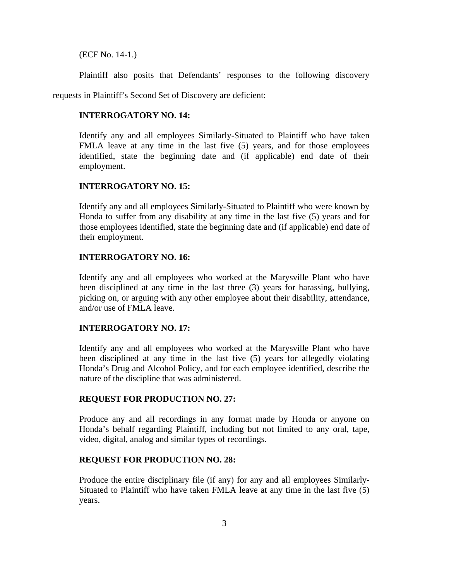(ECF No. 14-1.)

Plaintiff also posits that Defendants' responses to the following discovery

requests in Plaintiff's Second Set of Discovery are deficient:

## **INTERROGATORY NO. 14:**

Identify any and all employees Similarly-Situated to Plaintiff who have taken FMLA leave at any time in the last five (5) years, and for those employees identified, state the beginning date and (if applicable) end date of their employment.

#### **INTERROGATORY NO. 15:**

Identify any and all employees Similarly-Situated to Plaintiff who were known by Honda to suffer from any disability at any time in the last five (5) years and for those employees identified, state the beginning date and (if applicable) end date of their employment.

#### **INTERROGATORY NO. 16:**

Identify any and all employees who worked at the Marysville Plant who have been disciplined at any time in the last three (3) years for harassing, bullying, picking on, or arguing with any other employee about their disability, attendance, and/or use of FMLA leave.

### **INTERROGATORY NO. 17:**

Identify any and all employees who worked at the Marysville Plant who have been disciplined at any time in the last five (5) years for allegedly violating Honda's Drug and Alcohol Policy, and for each employee identified, describe the nature of the discipline that was administered.

## **REQUEST FOR PRODUCTION NO. 27:**

Produce any and all recordings in any format made by Honda or anyone on Honda's behalf regarding Plaintiff, including but not limited to any oral, tape, video, digital, analog and similar types of recordings.

# **REQUEST FOR PRODUCTION NO. 28:**

Produce the entire disciplinary file (if any) for any and all employees Similarly-Situated to Plaintiff who have taken FMLA leave at any time in the last five (5) years.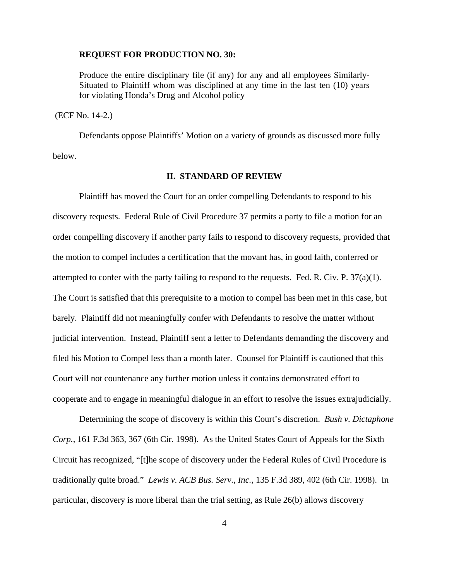#### **REQUEST FOR PRODUCTION NO. 30:**

Produce the entire disciplinary file (if any) for any and all employees Similarly-Situated to Plaintiff whom was disciplined at any time in the last ten (10) years for violating Honda's Drug and Alcohol policy

(ECF No. 14-2.)

 Defendants oppose Plaintiffs' Motion on a variety of grounds as discussed more fully below.

## **II. STANDARD OF REVIEW**

 Plaintiff has moved the Court for an order compelling Defendants to respond to his discovery requests. Federal Rule of Civil Procedure 37 permits a party to file a motion for an order compelling discovery if another party fails to respond to discovery requests, provided that the motion to compel includes a certification that the movant has, in good faith, conferred or attempted to confer with the party failing to respond to the requests. Fed. R. Civ. P. 37(a)(1). The Court is satisfied that this prerequisite to a motion to compel has been met in this case, but barely. Plaintiff did not meaningfully confer with Defendants to resolve the matter without judicial intervention. Instead, Plaintiff sent a letter to Defendants demanding the discovery and filed his Motion to Compel less than a month later. Counsel for Plaintiff is cautioned that this Court will not countenance any further motion unless it contains demonstrated effort to cooperate and to engage in meaningful dialogue in an effort to resolve the issues extrajudicially.

 Determining the scope of discovery is within this Court's discretion. *Bush v. Dictaphone Corp.*, 161 F.3d 363, 367 (6th Cir. 1998). As the United States Court of Appeals for the Sixth Circuit has recognized, "[t]he scope of discovery under the Federal Rules of Civil Procedure is traditionally quite broad." *Lewis v. ACB Bus. Serv., Inc.*, 135 F.3d 389, 402 (6th Cir. 1998). In particular, discovery is more liberal than the trial setting, as Rule 26(b) allows discovery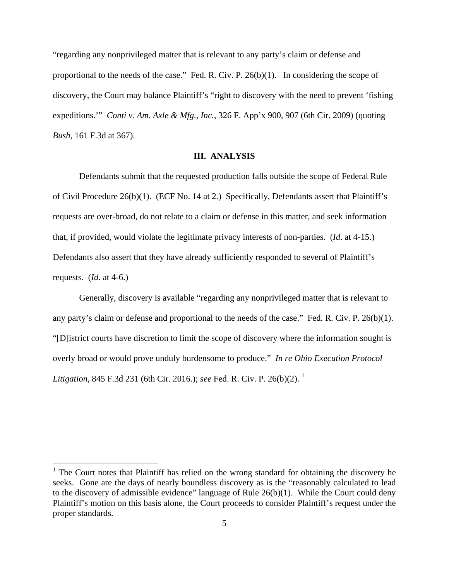"regarding any nonprivileged matter that is relevant to any party's claim or defense and proportional to the needs of the case." Fed. R. Civ. P. 26(b)(1). In considering the scope of discovery, the Court may balance Plaintiff's "right to discovery with the need to prevent 'fishing expeditions.'" *Conti v. Am. Axle & Mfg., Inc.*, 326 F. App'x 900, 907 (6th Cir. 2009) (quoting *Bush*, 161 F.3d at 367).

#### **III. ANALYSIS**

 Defendants submit that the requested production falls outside the scope of Federal Rule of Civil Procedure 26(b)(1). (ECF No. 14 at 2.) Specifically, Defendants assert that Plaintiff's requests are over-broad, do not relate to a claim or defense in this matter, and seek information that, if provided, would violate the legitimate privacy interests of non-parties. (*Id*. at 4-15.) Defendants also assert that they have already sufficiently responded to several of Plaintiff's requests. (*Id*. at 4-6.)

Generally, discovery is available "regarding any nonprivileged matter that is relevant to any party's claim or defense and proportional to the needs of the case." Fed. R. Civ. P. 26(b)(1). "[D]istrict courts have discretion to limit the scope of discovery where the information sought is overly broad or would prove unduly burdensome to produce." *In re Ohio Execution Protocol Litigation*, 845 F.3d 231 (6th Cir. 2016.); *see* Fed. R. Civ. P. 26(b)(2). <sup>1</sup>

 $\overline{a}$ 

<sup>&</sup>lt;sup>1</sup> The Court notes that Plaintiff has relied on the wrong standard for obtaining the discovery he seeks. Gone are the days of nearly boundless discovery as is the "reasonably calculated to lead to the discovery of admissible evidence" language of Rule  $26(b)(1)$ . While the Court could deny Plaintiff's motion on this basis alone, the Court proceeds to consider Plaintiff's request under the proper standards.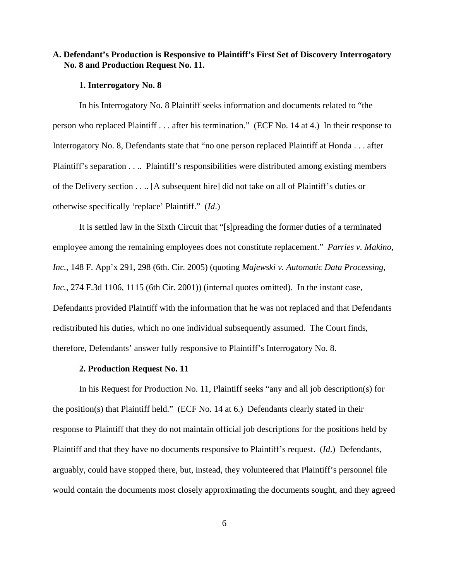# **A. Defendant's Production is Responsive to Plaintiff's First Set of Discovery Interrogatory No. 8 and Production Request No. 11.**

#### **1. Interrogatory No. 8**

In his Interrogatory No. 8 Plaintiff seeks information and documents related to "the person who replaced Plaintiff . . . after his termination." (ECF No. 14 at 4.) In their response to Interrogatory No. 8, Defendants state that "no one person replaced Plaintiff at Honda . . . after Plaintiff's separation . . .. Plaintiff's responsibilities were distributed among existing members of the Delivery section . . .. [A subsequent hire] did not take on all of Plaintiff's duties or otherwise specifically 'replace' Plaintiff." (*Id*.)

It is settled law in the Sixth Circuit that "[s]preading the former duties of a terminated employee among the remaining employees does not constitute replacement." *Parries v. Makino, Inc.*, 148 F. App'x 291, 298 (6th. Cir. 2005) (quoting *Majewski v. Automatic Data Processing, Inc.*, 274 F.3d 1106, 1115 (6th Cir. 2001)) (internal quotes omitted). In the instant case, Defendants provided Plaintiff with the information that he was not replaced and that Defendants redistributed his duties, which no one individual subsequently assumed. The Court finds, therefore, Defendants' answer fully responsive to Plaintiff's Interrogatory No. 8.

## **2. Production Request No. 11**

In his Request for Production No. 11, Plaintiff seeks "any and all job description(s) for the position(s) that Plaintiff held." (ECF No. 14 at 6.) Defendants clearly stated in their response to Plaintiff that they do not maintain official job descriptions for the positions held by Plaintiff and that they have no documents responsive to Plaintiff's request. (*Id*.) Defendants, arguably, could have stopped there, but, instead, they volunteered that Plaintiff's personnel file would contain the documents most closely approximating the documents sought, and they agreed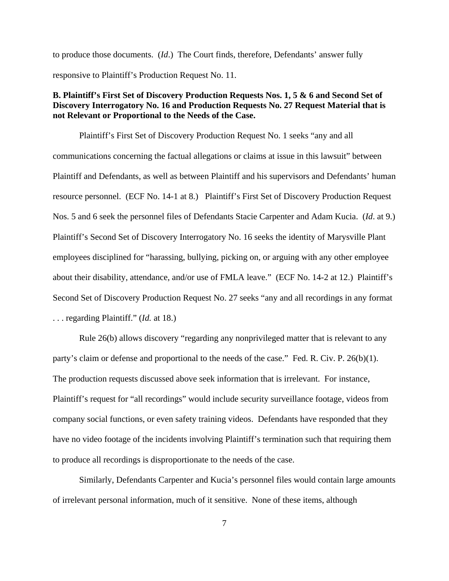to produce those documents. (*Id*.) The Court finds, therefore, Defendants' answer fully responsive to Plaintiff's Production Request No. 11.

# **B. Plaintiff's First Set of Discovery Production Requests Nos. 1, 5 & 6 and Second Set of Discovery Interrogatory No. 16 and Production Requests No. 27 Request Material that is not Relevant or Proportional to the Needs of the Case.**

 Plaintiff's First Set of Discovery Production Request No. 1 seeks "any and all communications concerning the factual allegations or claims at issue in this lawsuit" between Plaintiff and Defendants, as well as between Plaintiff and his supervisors and Defendants' human resource personnel. (ECF No. 14-1 at 8.) Plaintiff's First Set of Discovery Production Request Nos. 5 and 6 seek the personnel files of Defendants Stacie Carpenter and Adam Kucia. (*Id*. at 9.) Plaintiff's Second Set of Discovery Interrogatory No. 16 seeks the identity of Marysville Plant employees disciplined for "harassing, bullying, picking on, or arguing with any other employee about their disability, attendance, and/or use of FMLA leave." (ECF No. 14-2 at 12.) Plaintiff's Second Set of Discovery Production Request No. 27 seeks "any and all recordings in any format . . . regarding Plaintiff." (*Id.* at 18.)

Rule 26(b) allows discovery "regarding any nonprivileged matter that is relevant to any party's claim or defense and proportional to the needs of the case." Fed. R. Civ. P. 26(b)(1). The production requests discussed above seek information that is irrelevant. For instance, Plaintiff's request for "all recordings" would include security surveillance footage, videos from company social functions, or even safety training videos. Defendants have responded that they have no video footage of the incidents involving Plaintiff's termination such that requiring them to produce all recordings is disproportionate to the needs of the case.

Similarly, Defendants Carpenter and Kucia's personnel files would contain large amounts of irrelevant personal information, much of it sensitive. None of these items, although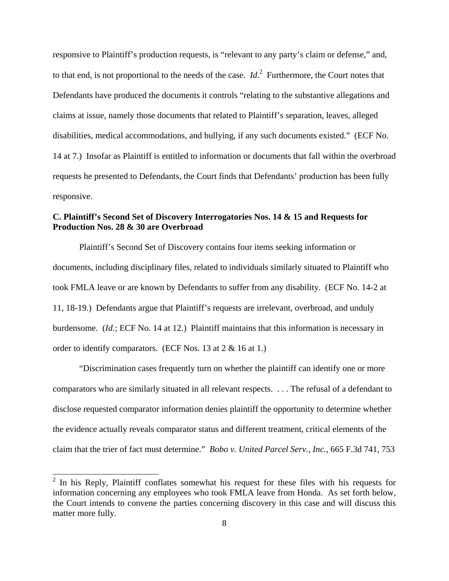responsive to Plaintiff's production requests, is "relevant to any party's claim or defense," and, to that end, is not proportional to the needs of the case. *Id*. 2 Furthermore, the Court notes that Defendants have produced the documents it controls "relating to the substantive allegations and claims at issue, namely those documents that related to Plaintiff's separation, leaves, alleged disabilities, medical accommodations, and bullying, if any such documents existed." (ECF No. 14 at 7.) Insofar as Plaintiff is entitled to information or documents that fall within the overbroad requests he presented to Defendants, the Court finds that Defendants' production has been fully responsive.

# **C. Plaintiff's Second Set of Discovery Interrogatories Nos. 14 & 15 and Requests for Production Nos. 28 & 30 are Overbroad**

 Plaintiff's Second Set of Discovery contains four items seeking information or documents, including disciplinary files, related to individuals similarly situated to Plaintiff who took FMLA leave or are known by Defendants to suffer from any disability. (ECF No. 14-2 at 11, 18-19.) Defendants argue that Plaintiff's requests are irrelevant, overbroad, and unduly burdensome. (*Id*.; ECF No. 14 at 12.) Plaintiff maintains that this information is necessary in order to identify comparators. (ECF Nos. 13 at 2 & 16 at 1.)

 "Discrimination cases frequently turn on whether the plaintiff can identify one or more comparators who are similarly situated in all relevant respects. . . . The refusal of a defendant to disclose requested comparator information denies plaintiff the opportunity to determine whether the evidence actually reveals comparator status and different treatment, critical elements of the claim that the trier of fact must determine." *Bobo v. United Parcel Serv., Inc.*, 665 F.3d 741, 753

<sup>&</sup>lt;sup>2</sup> In his Reply, Plaintiff conflates somewhat his request for these files with his requests for information concerning any employees who took FMLA leave from Honda. As set forth below, the Court intends to convene the parties concerning discovery in this case and will discuss this matter more fully.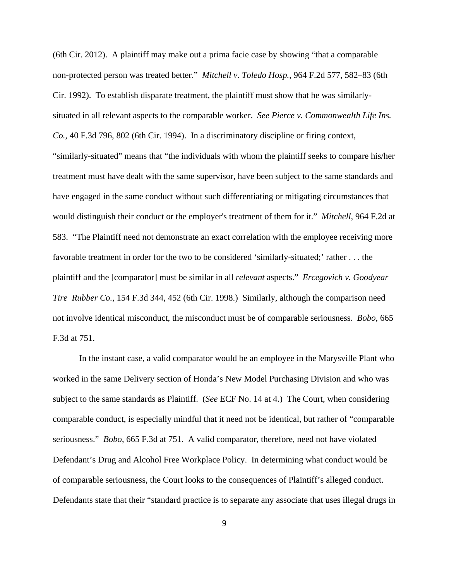(6th Cir. 2012). A plaintiff may make out a prima facie case by showing "that a comparable non-protected person was treated better." *Mitchell v. Toledo Hosp.*, 964 F.2d 577, 582–83 (6th Cir. 1992). To establish disparate treatment, the plaintiff must show that he was similarlysituated in all relevant aspects to the comparable worker. *See Pierce v. Commonwealth Life Ins. Co.*, 40 F.3d 796, 802 (6th Cir. 1994). In a discriminatory discipline or firing context, "similarly-situated" means that "the individuals with whom the plaintiff seeks to compare his/her treatment must have dealt with the same supervisor, have been subject to the same standards and have engaged in the same conduct without such differentiating or mitigating circumstances that would distinguish their conduct or the employer's treatment of them for it." *Mitchell*, 964 F.2d at 583. "The Plaintiff need not demonstrate an exact correlation with the employee receiving more favorable treatment in order for the two to be considered 'similarly-situated;' rather . . . the plaintiff and the [comparator] must be similar in all *relevant* aspects." *Ercegovich v. Goodyear Tire Rubber Co.*, 154 F.3d 344, 452 (6th Cir. 1998.) Similarly, although the comparison need not involve identical misconduct, the misconduct must be of comparable seriousness. *Bobo*, 665 F.3d at 751.

 In the instant case, a valid comparator would be an employee in the Marysville Plant who worked in the same Delivery section of Honda's New Model Purchasing Division and who was subject to the same standards as Plaintiff. (*See* ECF No. 14 at 4.) The Court, when considering comparable conduct, is especially mindful that it need not be identical, but rather of "comparable seriousness." *Bobo*, 665 F.3d at 751. A valid comparator, therefore, need not have violated Defendant's Drug and Alcohol Free Workplace Policy. In determining what conduct would be of comparable seriousness, the Court looks to the consequences of Plaintiff's alleged conduct. Defendants state that their "standard practice is to separate any associate that uses illegal drugs in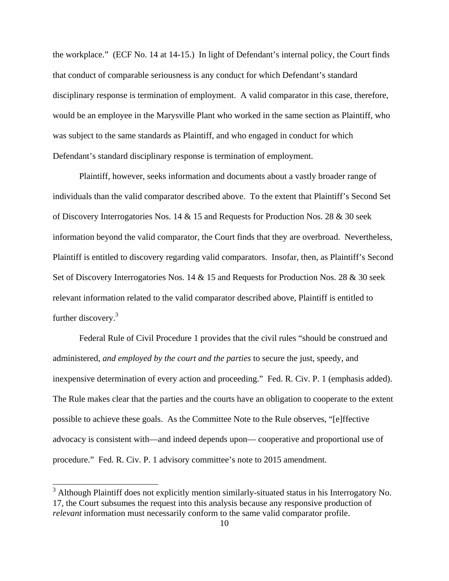the workplace." (ECF No. 14 at 14-15.) In light of Defendant's internal policy, the Court finds that conduct of comparable seriousness is any conduct for which Defendant's standard disciplinary response is termination of employment. A valid comparator in this case, therefore, would be an employee in the Marysville Plant who worked in the same section as Plaintiff, who was subject to the same standards as Plaintiff, and who engaged in conduct for which Defendant's standard disciplinary response is termination of employment.

 Plaintiff, however, seeks information and documents about a vastly broader range of individuals than the valid comparator described above. To the extent that Plaintiff's Second Set of Discovery Interrogatories Nos. 14 & 15 and Requests for Production Nos. 28 & 30 seek information beyond the valid comparator, the Court finds that they are overbroad. Nevertheless, Plaintiff is entitled to discovery regarding valid comparators. Insofar, then, as Plaintiff's Second Set of Discovery Interrogatories Nos. 14 & 15 and Requests for Production Nos. 28 & 30 seek relevant information related to the valid comparator described above, Plaintiff is entitled to further discovery.<sup>3</sup>

Federal Rule of Civil Procedure 1 provides that the civil rules "should be construed and administered, *and employed by the court and the parties* to secure the just, speedy, and inexpensive determination of every action and proceeding." Fed. R. Civ. P. 1 (emphasis added). The Rule makes clear that the parties and the courts have an obligation to cooperate to the extent possible to achieve these goals. As the Committee Note to the Rule observes, "[e]ffective advocacy is consistent with—and indeed depends upon— cooperative and proportional use of procedure." Fed. R. Civ. P. 1 advisory committee's note to 2015 amendment.

 $\overline{a}$ 

<sup>&</sup>lt;sup>3</sup> Although Plaintiff does not explicitly mention similarly-situated status in his Interrogatory No. 17, the Court subsumes the request into this analysis because any responsive production of *relevant* information must necessarily conform to the same valid comparator profile.